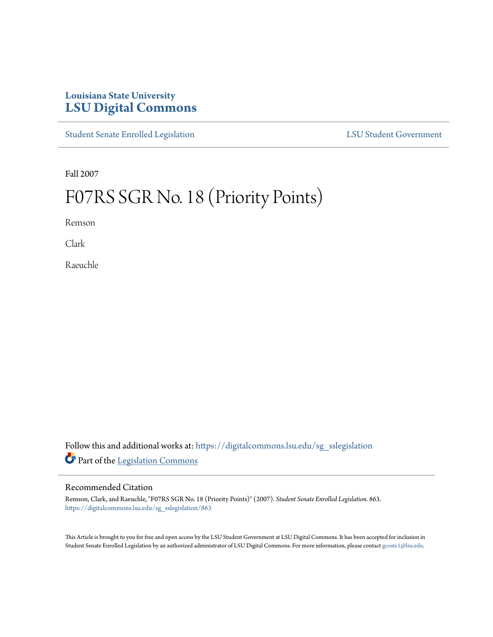## **Louisiana State University [LSU Digital Commons](https://digitalcommons.lsu.edu?utm_source=digitalcommons.lsu.edu%2Fsg_sslegislation%2F863&utm_medium=PDF&utm_campaign=PDFCoverPages)**

[Student Senate Enrolled Legislation](https://digitalcommons.lsu.edu/sg_sslegislation?utm_source=digitalcommons.lsu.edu%2Fsg_sslegislation%2F863&utm_medium=PDF&utm_campaign=PDFCoverPages) [LSU Student Government](https://digitalcommons.lsu.edu/sg?utm_source=digitalcommons.lsu.edu%2Fsg_sslegislation%2F863&utm_medium=PDF&utm_campaign=PDFCoverPages)

Fall 2007

## F07RS SGR No. 18 (Priority Points)

Remson

Clark

Raeuchle

Follow this and additional works at: [https://digitalcommons.lsu.edu/sg\\_sslegislation](https://digitalcommons.lsu.edu/sg_sslegislation?utm_source=digitalcommons.lsu.edu%2Fsg_sslegislation%2F863&utm_medium=PDF&utm_campaign=PDFCoverPages) Part of the [Legislation Commons](http://network.bepress.com/hgg/discipline/859?utm_source=digitalcommons.lsu.edu%2Fsg_sslegislation%2F863&utm_medium=PDF&utm_campaign=PDFCoverPages)

## Recommended Citation

Remson, Clark, and Raeuchle, "F07RS SGR No. 18 (Priority Points)" (2007). *Student Senate Enrolled Legislation*. 863. [https://digitalcommons.lsu.edu/sg\\_sslegislation/863](https://digitalcommons.lsu.edu/sg_sslegislation/863?utm_source=digitalcommons.lsu.edu%2Fsg_sslegislation%2F863&utm_medium=PDF&utm_campaign=PDFCoverPages)

This Article is brought to you for free and open access by the LSU Student Government at LSU Digital Commons. It has been accepted for inclusion in Student Senate Enrolled Legislation by an authorized administrator of LSU Digital Commons. For more information, please contact [gcoste1@lsu.edu.](mailto:gcoste1@lsu.edu)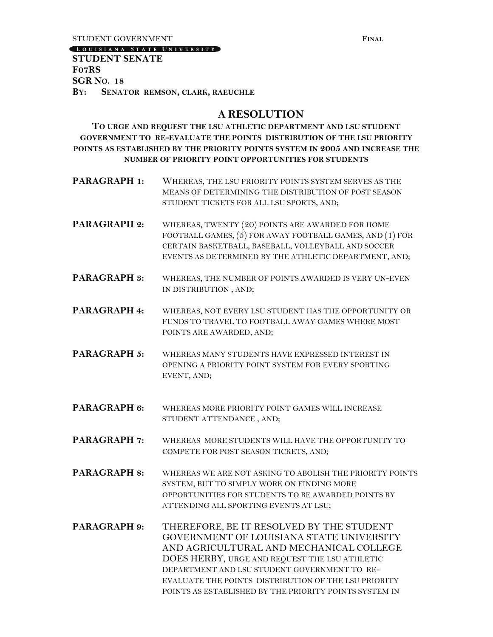**STUDENT GOVERNMENT FINAL** 

[LOUISIANA STATE UNIVERSITY]

**STUDENT SENATE F07RS SGR NO. 18 BY: SENATOR REMSON, CLARK, RAEUCHLE** 

## **A RESOLUTION**

**TO URGE AND REQUEST THE LSU ATHLETIC DEPARTMENT AND LSU STUDENT GOVERNMENT TO RE-EVALUATE THE POINTS DISTRIBUTION OF THE LSU PRIORITY POINTS AS ESTABLISHED BY THE PRIORITY POINTS SYSTEM IN 2005 AND INCREASE THE NUMBER OF PRIORITY POINT OPPORTUNITIES FOR STUDENTS**

- **PARAGRAPH 1:** WHEREAS, THE LSU PRIORITY POINTS SYSTEM SERVES AS THE MEANS OF DETERMINING THE DISTRIBUTION OF POST SEASON STUDENT TICKETS FOR ALL LSU SPORTS, AND;
- **PARAGRAPH 2:** WHEREAS, TWENTY (20) POINTS ARE AWARDED FOR HOME FOOTBALL GAMES, (5) FOR AWAY FOOTBALL GAMES, AND (1) FOR CERTAIN BASKETBALL, BASEBALL, VOLLEYBALL AND SOCCER EVENTS AS DETERMINED BY THE ATHLETIC DEPARTMENT, AND;
- PARAGRAPH 3: WHEREAS, THE NUMBER OF POINTS AWARDED IS VERY UN-EVEN IN DISTRIBUTION , AND;
- **PARAGRAPH 4:** WHEREAS, NOT EVERY LSU STUDENT HAS THE OPPORTUNITY OR FUNDS TO TRAVEL TO FOOTBALL AWAY GAMES WHERE MOST POINTS ARE AWARDED, AND;
- **PARAGRAPH 5:** WHEREAS MANY STUDENTS HAVE EXPRESSED INTEREST IN OPENING A PRIORITY POINT SYSTEM FOR EVERY SPORTING EVENT, AND;
- **PARAGRAPH 6:** WHEREAS MORE PRIORITY POINT GAMES WILL INCREASE STUDENT ATTENDANCE , AND;
- PARAGRAPH 7: WHEREAS MORE STUDENTS WILL HAVE THE OPPORTUNITY TO COMPETE FOR POST SEASON TICKETS, AND;
- **PARAGRAPH 8:** WHEREAS WE ARE NOT ASKING TO ABOLISH THE PRIORITY POINTS SYSTEM, BUT TO SIMPLY WORK ON FINDING MORE OPPORTUNITIES FOR STUDENTS TO BE AWARDED POINTS BY ATTENDING ALL SPORTING EVENTS AT LSU;
- **PARAGRAPH 9:** THEREFORE, BE IT RESOLVED BY THE STUDENT GOVERNMENT OF LOUISIANA STATE UNIVERSITY AND AGRICULTURAL AND MECHANICAL COLLEGE DOES HERBY, URGE AND REQUEST THE LSU ATHLETIC DEPARTMENT AND LSU STUDENT GOVERNMENT TO RE-EVALUATE THE POINTS DISTRIBUTION OF THE LSU PRIORITY POINTS AS ESTABLISHED BY THE PRIORITY POINTS SYSTEM IN